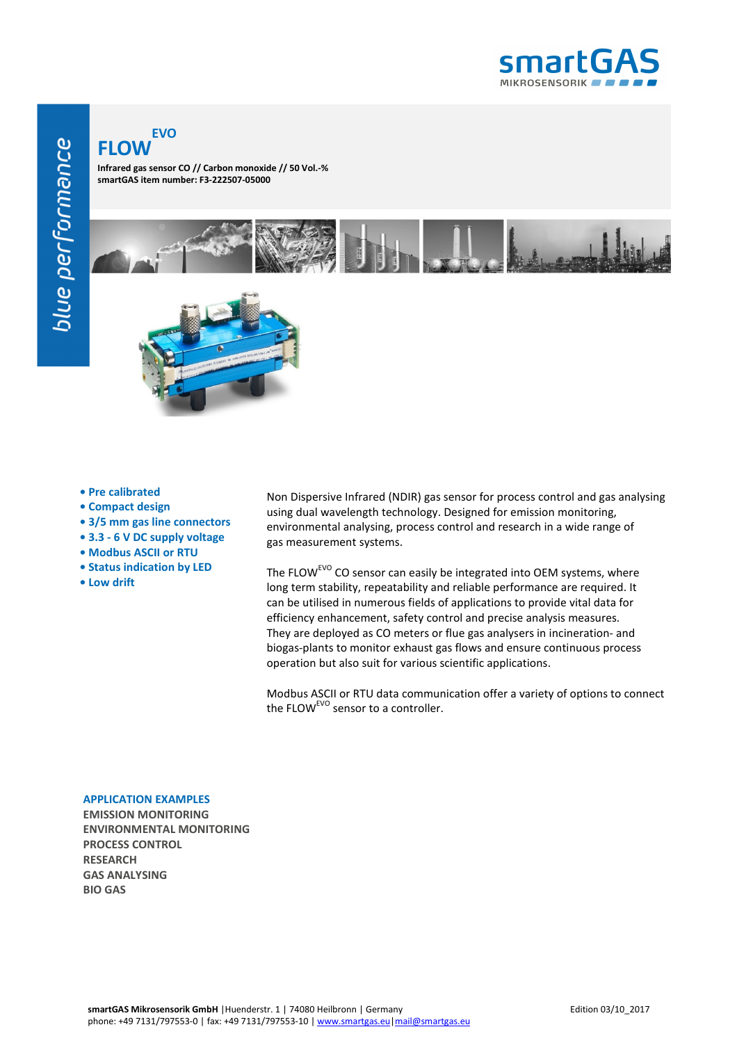

## **FLOW EVO**

**Infrared gas sensor CO // Carbon monoxide // 50 Vol.-% smartGAS item number: F3-222507-05000**



- **Pre calibrated**
- **Compact design**
- **3/5 mm gas line connectors**
- **3.3 6 V DC supply voltage**
- **Modbus ASCII or RTU**
- **Status indication by LED**
- **Low drift**

Non Dispersive Infrared (NDIR) gas sensor for process control and gas analysing using dual wavelength technology. Designed for emission monitoring, environmental analysing, process control and research in a wide range of gas measurement systems.

The FLOW<sup>EVO</sup> CO sensor can easily be integrated into OEM systems, where long term stability, repeatability and reliable performance are required. It can be utilised in numerous fields of applications to provide vital data for efficiency enhancement, safety control and precise analysis measures. They are deployed as CO meters or flue gas analysers in incineration- and biogas-plants to monitor exhaust gas flows and ensure continuous process operation but also suit for various scientific applications.

Modbus ASCII or RTU data communication offer a variety of options to connect the FLOW<sup>EVO</sup> sensor to a controller.

## **APPLICATION EXAMPLES**

**EMISSION MONITORING ENVIRONMENTAL MONITORING PROCESS CONTROL RESEARCH GAS ANALYSING BIO GAS**